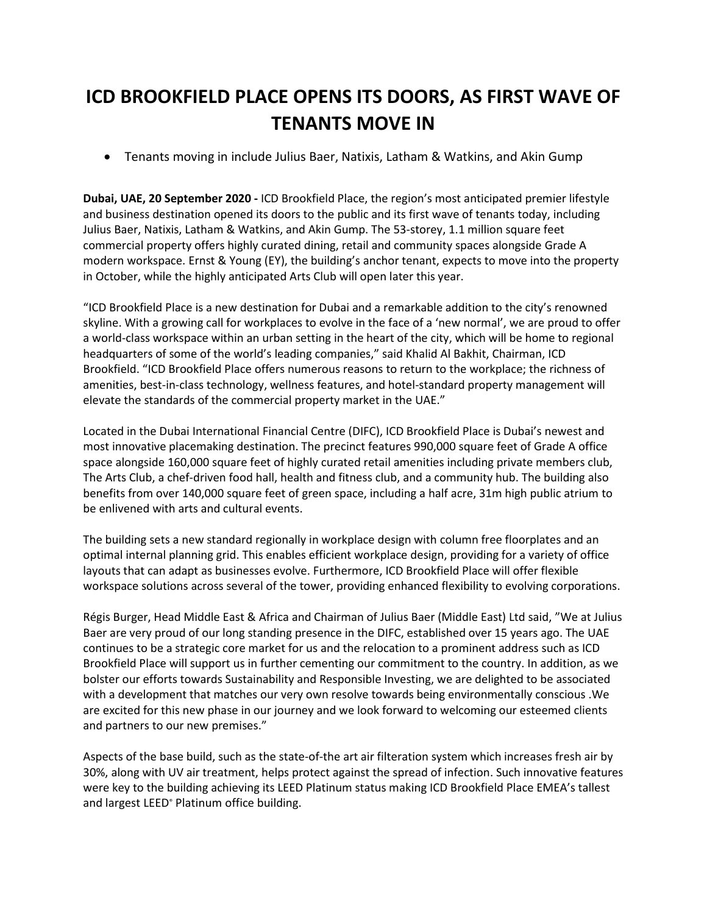# **ICD BROOKFIELD PLACE OPENS ITS DOORS, AS FIRST WAVE OF TENANTS MOVE IN**

• Tenants moving in include Julius Baer, Natixis, Latham & Watkins, and Akin Gump

**Dubai, UAE, 20 September 2020 -** ICD Brookfield Place, the region's most anticipated premier lifestyle and business destination opened its doors to the public and its first wave of tenants today, including Julius Baer, Natixis, Latham & Watkins, and Akin Gump. The 53-storey, 1.1 million square feet commercial property offers highly curated dining, retail and community spaces alongside Grade A modern workspace. Ernst & Young (EY), the building's anchor tenant, expects to move into the property in October, while the highly anticipated Arts Club will open later this year.

"ICD Brookfield Place is a new destination for Dubai and a remarkable addition to the city's renowned skyline. With a growing call for workplaces to evolve in the face of a 'new normal', we are proud to offer a world-class workspace within an urban setting in the heart of the city, which will be home to regional headquarters of some of the world's leading companies," said Khalid Al Bakhit, Chairman, ICD Brookfield. "ICD Brookfield Place offers numerous reasons to return to the workplace; the richness of amenities, best-in-class technology, wellness features, and hotel-standard property management will elevate the standards of the commercial property market in the UAE."

Located in the Dubai International Financial Centre (DIFC), ICD Brookfield Place is Dubai's newest and most innovative placemaking destination. The precinct features 990,000 square feet of Grade A office space alongside 160,000 square feet of highly curated retail amenities including private members club, The Arts Club, a chef-driven food hall, health and fitness club, and a community hub. The building also benefits from over 140,000 square feet of green space, including a half acre, 31m high public atrium to be enlivened with arts and cultural events.

The building sets a new standard regionally in workplace design with column free floorplates and an optimal internal planning grid. This enables efficient workplace design, providing for a variety of office layouts that can adapt as businesses evolve. Furthermore, ICD Brookfield Place will offer flexible workspace solutions across several of the tower, providing enhanced flexibility to evolving corporations.

Régis Burger, Head Middle East & Africa and Chairman of Julius Baer (Middle East) Ltd said, "We at Julius Baer are very proud of our long standing presence in the DIFC, established over 15 years ago. The UAE continues to be a strategic core market for us and the relocation to a prominent address such as ICD Brookfield Place will support us in further cementing our commitment to the country. In addition, as we bolster our efforts towards Sustainability and Responsible Investing, we are delighted to be associated with a development that matches our very own resolve towards being environmentally conscious .We are excited for this new phase in our journey and we look forward to welcoming our esteemed clients and partners to our new premises."

Aspects of the base build, such as the state-of-the art air filteration system which increases fresh air by 30%, along with UV air treatment, helps protect against the spread of infection. Such innovative features were key to the building achieving its LEED Platinum status making ICD Brookfield Place EMEA's tallest and largest LEED<sup>®</sup> Platinum office building.